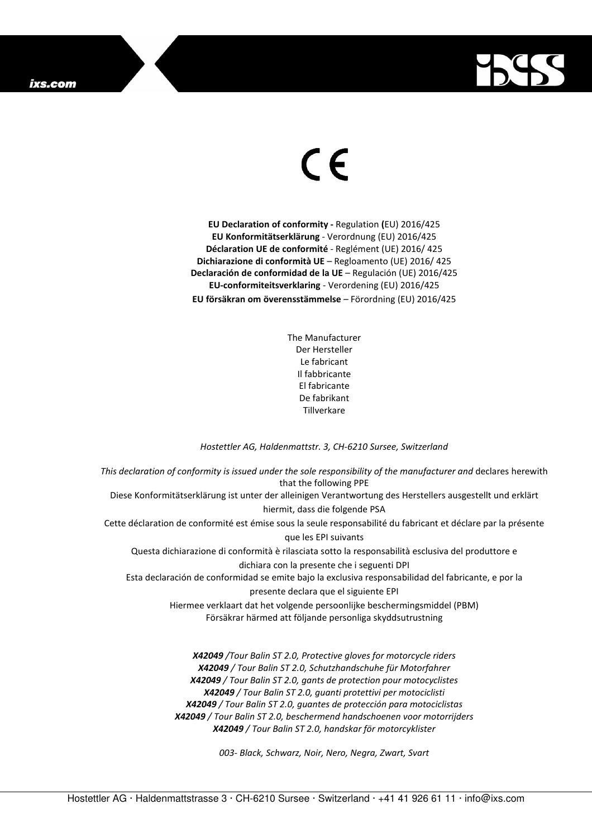

## $\in$

**EU Declaration of conformity -** Regulation **(**EU) 2016/425 **EU Konformitätserklärung** - Verordnung (EU) 2016/425 **Déclaration UE de conformité** - Reglément (UE) 2016/ 425 **Dichiarazione di conformità UE** – Regloamento (UE) 2016/ 425 **Declaración de conformidad de la UE** – Regulación (UE) 2016/425 **EU-conformiteitsverklaring** - Verordening (EU) 2016/425 **EU försäkran om överensstämmelse** – Förordning (EU) 2016/425

> The Manufacturer Der Hersteller Le fabricant Il fabbricante El fabricante De fabrikant Tillverkare

## *Hostettler AG, Haldenmattstr. 3, CH-6210 Sursee, Switzerland*

*This declaration of conformity is issued under the sole responsibility of the manufacturer and* declares herewith that the following PPE Diese Konformitätserklärung ist unter der alleinigen Verantwortung des Herstellers ausgestellt und erklärt hiermit, dass die folgende PSA Cette déclaration de conformité est émise sous la seule responsabilité du fabricant et déclare par la présente que les EPI suivants Questa dichiarazione di conformità è rilasciata sotto la responsabilità esclusiva del produttore e dichiara con la presente che i seguenti DPI Esta declaración de conformidad se emite bajo la exclusiva responsabilidad del fabricante, e por la presente declara que el siguiente EPI Hiermee verklaart dat het volgende persoonlijke beschermingsmiddel (PBM) Försäkrar härmed att följande personliga skyddsutrustning *X42049 /Tour Balin ST 2.0, Protective gloves for motorcycle riders X42049 / Tour Balin ST 2.0, Schutzhandschuhe für Motorfahrer X42049 / Tour Balin ST 2.0, gants de protection pour motocyclistes* 

> *X42049 / Tour Balin ST 2.0, guantes de protección para motociclistas X42049 / Tour Balin ST 2.0, beschermend handschoenen voor motorrijders*

*X42049 / Tour Balin ST 2.0, guanti protettivi per motociclisti* 

*X42049 / Tour Balin ST 2.0, handskar för motorcyklister* 

*003- Black, Schwarz, Noir, Nero, Negra, Zwart, Svart*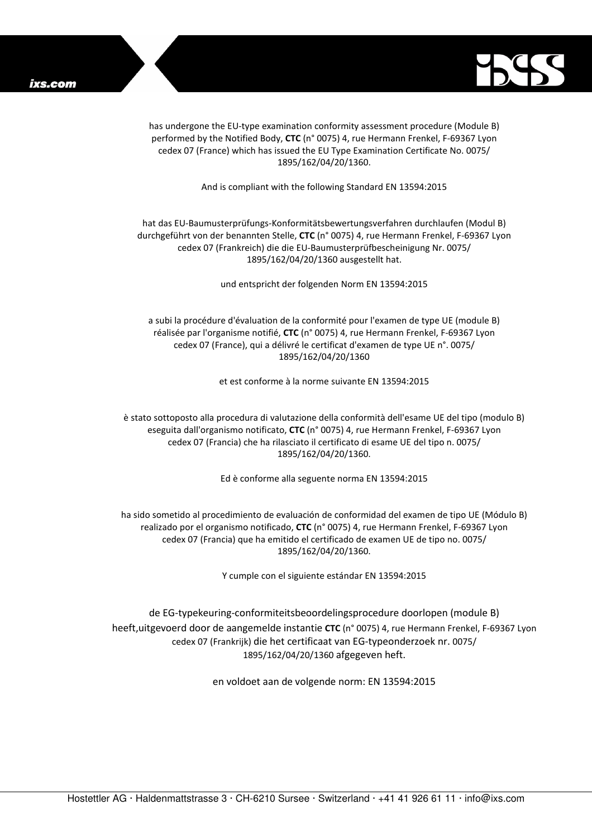

has undergone the EU-type examination conformity assessment procedure (Module B) performed by the Notified Body, **CTC** (n° 0075) 4, rue Hermann Frenkel, F-69367 Lyon cedex 07 (France) which has issued the EU Type Examination Certificate No. 0075/ 1895/162/04/20/1360.

And is compliant with the following Standard EN 13594:2015

## hat das EU-Baumusterprüfungs-Konformitätsbewertungsverfahren durchlaufen (Modul B) durchgeführt von der benannten Stelle, **CTC** (n° 0075) 4, rue Hermann Frenkel, F-69367 Lyon cedex 07 (Frankreich) die die EU-Baumusterprüfbescheinigung Nr. 0075/ 1895/162/04/20/1360 ausgestellt hat.

und entspricht der folgenden Norm EN 13594:2015

a subi la procédure d'évaluation de la conformité pour l'examen de type UE (module B) réalisée par l'organisme notifié, **CTC** (n° 0075) 4, rue Hermann Frenkel, F-69367 Lyon cedex 07 (France), qui a délivré le certificat d'examen de type UE n°. 0075/ 1895/162/04/20/1360

et est conforme à la norme suivante EN 13594:2015

è stato sottoposto alla procedura di valutazione della conformità dell'esame UE del tipo (modulo B) eseguita dall'organismo notificato, **CTC** (n° 0075) 4, rue Hermann Frenkel, F-69367 Lyon cedex 07 (Francia) che ha rilasciato il certificato di esame UE del tipo n. 0075/ 1895/162/04/20/1360.

Ed è conforme alla seguente norma EN 13594:2015

ha sido sometido al procedimiento de evaluación de conformidad del examen de tipo UE (Módulo B) realizado por el organismo notificado, **CTC** (n° 0075) 4, rue Hermann Frenkel, F-69367 Lyon cedex 07 (Francia) que ha emitido el certificado de examen UE de tipo no. 0075/ 1895/162/04/20/1360.

Y cumple con el siguiente estándar EN 13594:2015

de EG-typekeuring-conformiteitsbeoordelingsprocedure doorlopen (module B) heeft,uitgevoerd door de aangemelde instantie **CTC** (n° 0075) 4, rue Hermann Frenkel, F-69367 Lyon cedex 07 (Frankrijk) die het certificaat van EG-typeonderzoek nr. 0075/ 1895/162/04/20/1360 afgegeven heft.

en voldoet aan de volgende norm: EN 13594:2015